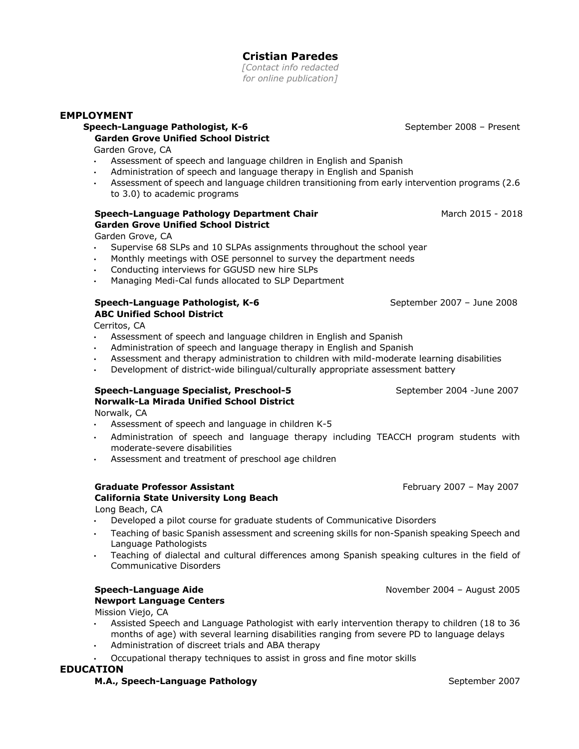# **Cristian Paredes**

*[Contact info redacted for online publication]*

### **EMPLOYMENT**

# **Speech-Language Pathologist, K-6 September 2008 – Present Garden Grove Unified School District**

Garden Grove, CA

- Assessment of speech and language children in English and Spanish
- Administration of speech and language therapy in English and Spanish
- Assessment of speech and language children transitioning from early intervention programs (2.6 to 3.0) to academic programs

# **Speech-Language Pathology Department Chair March 2015 - 2018** March 2015 - 2018 **Garden Grove Unified School District**

Garden Grove, CA

- Supervise 68 SLPs and 10 SLPAs assignments throughout the school year
- Monthly meetings with OSE personnel to survey the department needs
- Conducting interviews for GGUSD new hire SLPs
- Managing Medi-Cal funds allocated to SLP Department

### **Speech-Language Pathologist, K-6**  September 2007 – June 2008 **ABC Unified School District**

Cerritos, CA

- Assessment of speech and language children in English and Spanish
- Administration of speech and language therapy in English and Spanish
- Assessment and therapy administration to children with mild-moderate learning disabilities
- Development of district-wide bilingual/culturally appropriate assessment battery

### **Speech-Language Specialist, Preschool-5 September 2004 -June 2007 Norwalk-La Mirada Unified School District**

Norwalk, CA

- Assessment of speech and language in children K-5
- Administration of speech and language therapy including TEACCH program students with moderate-severe disabilities
- Assessment and treatment of preschool age children

## **Graduate Professor Assistant February 2007** – May 2007

# **California State University Long Beach**

Long Beach, CA

- Developed a pilot course for graduate students of Communicative Disorders
- Teaching of basic Spanish assessment and screening skills for non-Spanish speaking Speech and Language Pathologists
- Teaching of dialectal and cultural differences among Spanish speaking cultures in the field of Communicative Disorders

#### **Speech-Language Aide** November 2004 – August 2005 **Newport Language Centers**

Mission Viejo, CA

- Assisted Speech and Language Pathologist with early intervention therapy to children (18 to 36 months of age) with several learning disabilities ranging from severe PD to language delays
- Administration of discreet trials and ABA therapy
- Occupational therapy techniques to assist in gross and fine motor skills

## **EDUCATION**

## **M.A., Speech-Language Pathology** September 2007